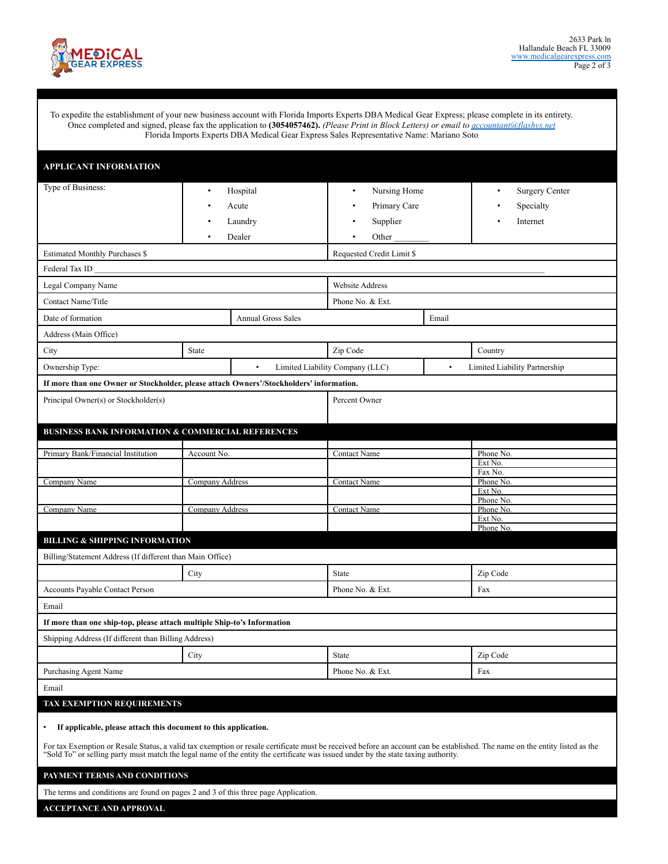

To expedite the establishment of your new business account with Florida Imports Experts DBA Medical Gear Express; please complete in its entirety. Once completed and signed, please fax the application to **(3054057462).** *(Please Print in Block Letters) or email to [accountant@flashys.net](mailto:accountant@flashys.net)* Florida Imports Experts DBA Medical Gear Express Sales Representative Name: Mariano Soto

| <b>APPLICANT INFORMATION</b>                                                                                                                                                                                                                                                                                                                                                                      |                                           |                           |                                                                    |     |                                                             |
|---------------------------------------------------------------------------------------------------------------------------------------------------------------------------------------------------------------------------------------------------------------------------------------------------------------------------------------------------------------------------------------------------|-------------------------------------------|---------------------------|--------------------------------------------------------------------|-----|-------------------------------------------------------------|
| Type of Business:                                                                                                                                                                                                                                                                                                                                                                                 | Hospital<br>$\bullet$<br>Acute<br>Laundry |                           | Nursing Home<br>$\bullet$<br>Primary Care<br>Supplier<br>$\bullet$ |     | <b>Surgery Center</b><br>$\bullet$<br>Specialty<br>Internet |
| Dealer<br><b>Estimated Monthly Purchases \$</b>                                                                                                                                                                                                                                                                                                                                                   |                                           |                           | Other_<br>Requested Credit Limit \$                                |     |                                                             |
|                                                                                                                                                                                                                                                                                                                                                                                                   |                                           |                           |                                                                    |     |                                                             |
| Legal Company Name                                                                                                                                                                                                                                                                                                                                                                                |                                           |                           | Website Address                                                    |     |                                                             |
| Contact Name/Title                                                                                                                                                                                                                                                                                                                                                                                |                                           |                           | Phone No. & Ext.                                                   |     |                                                             |
| Date of formation                                                                                                                                                                                                                                                                                                                                                                                 |                                           | <b>Annual Gross Sales</b> | Email                                                              |     |                                                             |
| Address (Main Office)                                                                                                                                                                                                                                                                                                                                                                             |                                           |                           |                                                                    |     |                                                             |
| City                                                                                                                                                                                                                                                                                                                                                                                              | <b>State</b>                              |                           | Zip Code                                                           |     | Country                                                     |
| Ownership Type:                                                                                                                                                                                                                                                                                                                                                                                   |                                           |                           | Limited Liability Company (LLC)<br>$\bullet$                       |     | Limited Liability Partnership                               |
| If more than one Owner or Stockholder, please attach Owners'/Stockholders' information.                                                                                                                                                                                                                                                                                                           |                                           |                           |                                                                    |     |                                                             |
| Principal Owner(s) or Stockholder(s)                                                                                                                                                                                                                                                                                                                                                              |                                           |                           | Percent Owner                                                      |     |                                                             |
| <b>BUSINESS BANK INFORMATION &amp; COMMERCIAL REFERENCES</b>                                                                                                                                                                                                                                                                                                                                      |                                           |                           |                                                                    |     |                                                             |
| Primary Bank/Financial Institution                                                                                                                                                                                                                                                                                                                                                                | Account No.                               |                           | Contact Name                                                       |     | Phone No.<br>Ext No.                                        |
| Company Name                                                                                                                                                                                                                                                                                                                                                                                      | Company Address                           |                           | <b>Contact Name</b>                                                |     | Fax No.<br>Phone No.                                        |
|                                                                                                                                                                                                                                                                                                                                                                                                   |                                           |                           |                                                                    |     | Ext No.<br>Phone No.                                        |
| Company Name                                                                                                                                                                                                                                                                                                                                                                                      | <b>Company Address</b>                    |                           | <b>Contact Name</b>                                                |     | Phone No.<br>Ext No.                                        |
| <b>BILLING &amp; SHIPPING INFORMATION</b>                                                                                                                                                                                                                                                                                                                                                         |                                           |                           |                                                                    |     | Phone No.                                                   |
| Billing/Statement Address (If different than Main Office)                                                                                                                                                                                                                                                                                                                                         |                                           |                           |                                                                    |     |                                                             |
| City<br><b>State</b>                                                                                                                                                                                                                                                                                                                                                                              |                                           |                           |                                                                    |     | Zip Code                                                    |
| Accounts Payable Contact Person                                                                                                                                                                                                                                                                                                                                                                   |                                           | Phone No. & Ext.          |                                                                    | Fax |                                                             |
| Email                                                                                                                                                                                                                                                                                                                                                                                             |                                           |                           |                                                                    |     |                                                             |
| If more than one ship-top, please attach multiple Ship-to's Information                                                                                                                                                                                                                                                                                                                           |                                           |                           |                                                                    |     |                                                             |
| Shipping Address (If different than Billing Address)                                                                                                                                                                                                                                                                                                                                              |                                           |                           |                                                                    |     |                                                             |
| City                                                                                                                                                                                                                                                                                                                                                                                              |                                           |                           | <b>State</b>                                                       |     | Zip Code                                                    |
| <b>Purchasing Agent Name</b>                                                                                                                                                                                                                                                                                                                                                                      |                                           |                           | Phone No. & Ext.                                                   |     | Fax                                                         |
| Email                                                                                                                                                                                                                                                                                                                                                                                             |                                           |                           |                                                                    |     |                                                             |
| <b>TAX EXEMPTION REQUIREMENTS</b>                                                                                                                                                                                                                                                                                                                                                                 |                                           |                           |                                                                    |     |                                                             |
| If applicable, please attach this document to this application.<br>$\bullet$<br>For tax Exemption or Resale Status, a valid tax exemption or resale certificate must be received before an account can be established. The name on the entity listed as the<br>"Sold To" or selling party must match the legal name of the entity the certificate was issued under by the state taxing authority. |                                           |                           |                                                                    |     |                                                             |
| PAYMENT TERMS AND CONDITIONS                                                                                                                                                                                                                                                                                                                                                                      |                                           |                           |                                                                    |     |                                                             |

The terms and conditions are found on pages 2 and 3 of this three page Application.

**ACCEPTANCE AND APPROVAL**